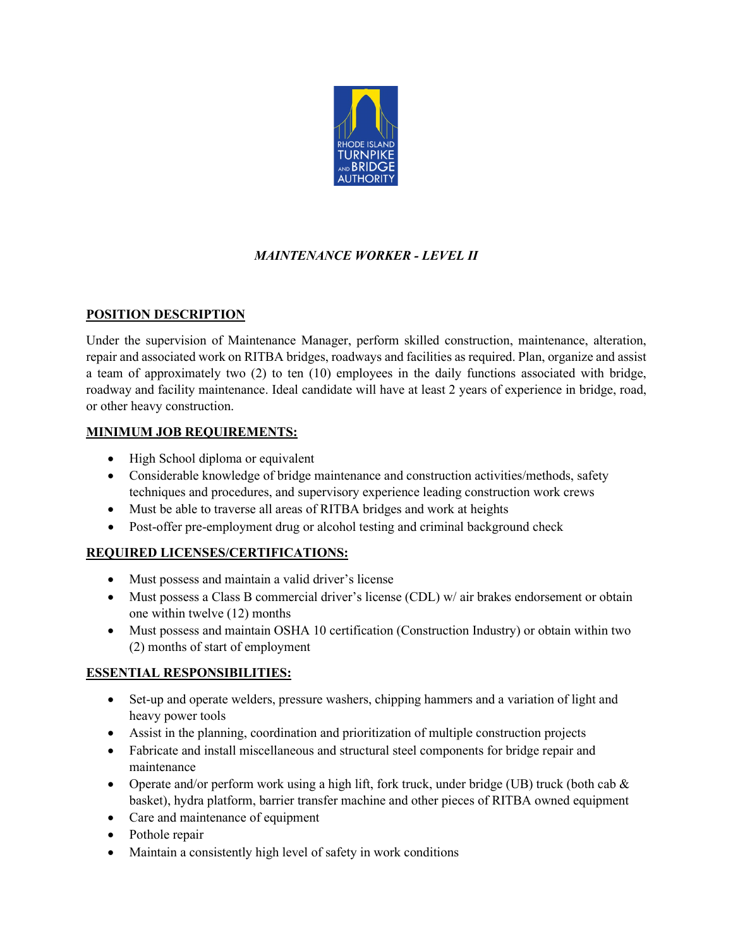

# *MAINTENANCE WORKER - LEVEL II*

#### **POSITION DESCRIPTION**

Under the supervision of Maintenance Manager, perform skilled construction, maintenance, alteration, repair and associated work on RITBA bridges, roadways and facilities as required. Plan, organize and assist a team of approximately two (2) to ten (10) employees in the daily functions associated with bridge, roadway and facility maintenance. Ideal candidate will have at least 2 years of experience in bridge, road, or other heavy construction.

#### **MINIMUM JOB REQUIREMENTS:**

- High School diploma or equivalent
- Considerable knowledge of bridge maintenance and construction activities/methods, safety techniques and procedures, and supervisory experience leading construction work crews
- Must be able to traverse all areas of RITBA bridges and work at heights
- Post-offer pre-employment drug or alcohol testing and criminal background check

## **REQUIRED LICENSES/CERTIFICATIONS:**

- Must possess and maintain a valid driver's license
- Must possess a Class B commercial driver's license (CDL) w/ air brakes endorsement or obtain one within twelve (12) months
- Must possess and maintain OSHA 10 certification (Construction Industry) or obtain within two (2) months of start of employment

#### **ESSENTIAL RESPONSIBILITIES:**

- Set-up and operate welders, pressure washers, chipping hammers and a variation of light and heavy power tools
- Assist in the planning, coordination and prioritization of multiple construction projects
- Fabricate and install miscellaneous and structural steel components for bridge repair and maintenance
- Operate and/or perform work using a high lift, fork truck, under bridge (UB) truck (both cab  $\&$ basket), hydra platform, barrier transfer machine and other pieces of RITBA owned equipment
- Care and maintenance of equipment
- Pothole repair
- Maintain a consistently high level of safety in work conditions